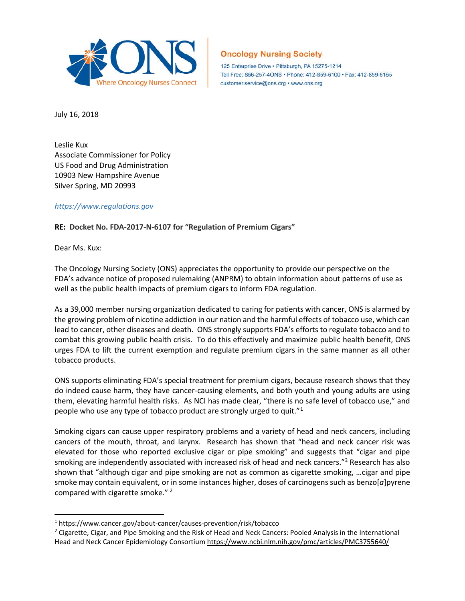

## **Oncology Nursing Society**

125 Enterprise Drive · Pittsburgh, PA 15275-1214 Toll Free: 866-257-4ONS · Phone: 412-859-6100 · Fax: 412-859-6165 customer.service@ons.org · www.ons.org

July 16, 2018

Leslie Kux Associate Commissioner for Policy US Food and Drug Administration 10903 New Hampshire Avenue Silver Spring, MD 20993

## *[https://www.regulations.gov](https://www.regulations.gov/)*

**RE: Docket No. FDA-2017-N-6107 for "Regulation of Premium Cigars"** 

Dear Ms. Kux:

 $\overline{a}$ 

The Oncology Nursing Society (ONS) appreciates the opportunity to provide our perspective on the FDA's advance notice of proposed rulemaking (ANPRM) to obtain information about patterns of use as well as the public health impacts of premium cigars to inform FDA regulation.

As a 39,000 member nursing organization dedicated to caring for patients with cancer, ONS is alarmed by the growing problem of nicotine addiction in our nation and the harmful effects of tobacco use, which can lead to cancer, other diseases and death. ONS strongly supports FDA's efforts to regulate tobacco and to combat this growing public health crisis. To do this effectively and maximize public health benefit, ONS urges FDA to lift the current exemption and regulate premium cigars in the same manner as all other tobacco products.

ONS supports eliminating FDA's special treatment for premium cigars, because research shows that they do indeed cause harm, they have cancer-causing elements, and both youth and young adults are using them, elevating harmful health risks. As NCI has made clear, "there is no safe level of tobacco use," and people who use any type of tobacco product are strongly urged to quit."[1](#page-0-0)

Smoking cigars can cause upper respiratory problems and a variety of head and neck cancers, including cancers of the mouth, throat, and larynx. Research has shown that "head and neck cancer risk was elevated for those who reported exclusive cigar or pipe smoking" and suggests that "cigar and pipe smoking are independently associated with increased risk of head and neck cancers."<sup>[2](#page-0-1)</sup> Research has also shown that "although cigar and pipe smoking are not as common as cigarette smoking, …cigar and pipe smoke may contain equivalent, or in some instances higher, doses of carcinogens such as benzo[*a*]pyrene compared with cigarette smoke."<sup>2</sup>

<span id="page-0-0"></span><sup>1</sup> <https://www.cancer.gov/about-cancer/causes-prevention/risk/tobacco>

<span id="page-0-1"></span><sup>&</sup>lt;sup>2</sup> Cigarette, Cigar, and Pipe Smoking and the Risk of Head and Neck Cancers: Pooled Analysis in the International Head and Neck Cancer Epidemiology Consortium <https://www.ncbi.nlm.nih.gov/pmc/articles/PMC3755640/>